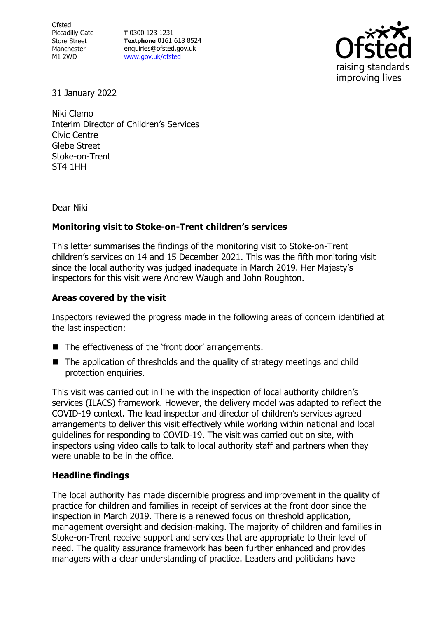**Ofsted** Piccadilly Gate Store Street Manchester M1 2WD

**T** 0300 123 1231 **Textphone** 0161 618 8524 enquiries@ofsted.gov.uk [www.gov.uk/ofsted](http://www.gov.uk/ofsted)



31 January 2022

Niki Clemo Interim Director of Children's Services Civic Centre Glebe Street Stoke-on-Trent ST4 1HH

Dear Niki

## **Monitoring visit to Stoke-on-Trent children's services**

This letter summarises the findings of the monitoring visit to Stoke-on-Trent children's services on 14 and 15 December 2021. This was the fifth monitoring visit since the local authority was judged inadequate in March 2019. Her Majesty's inspectors for this visit were Andrew Waugh and John Roughton.

## **Areas covered by the visit**

Inspectors reviewed the progress made in the following areas of concern identified at the last inspection:

- The effectiveness of the 'front door' arrangements.
- The application of thresholds and the quality of strategy meetings and child protection enquiries.

This visit was carried out in line with the inspection of local authority children's services (ILACS) framework. However, the delivery model was adapted to reflect the COVID-19 context. The lead inspector and director of children's services agreed arrangements to deliver this visit effectively while working within national and local guidelines for responding to COVID-19. The visit was carried out on site, with inspectors using video calls to talk to local authority staff and partners when they were unable to be in the office.

## **Headline findings**

The local authority has made discernible progress and improvement in the quality of practice for children and families in receipt of services at the front door since the inspection in March 2019. There is a renewed focus on threshold application, management oversight and decision-making. The majority of children and families in Stoke-on-Trent receive support and services that are appropriate to their level of need. The quality assurance framework has been further enhanced and provides managers with a clear understanding of practice. Leaders and politicians have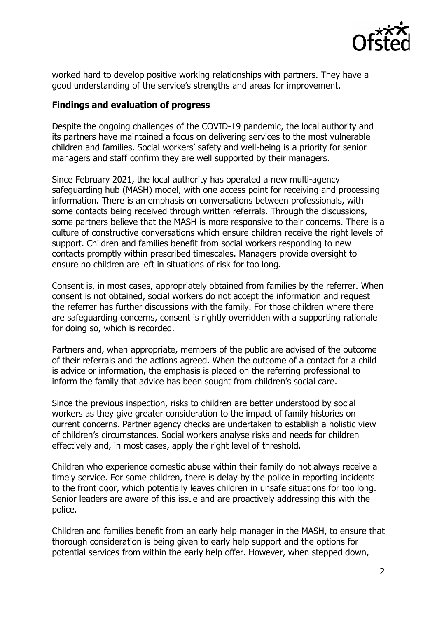

worked hard to develop positive working relationships with partners. They have a good understanding of the service's strengths and areas for improvement.

## **Findings and evaluation of progress**

Despite the ongoing challenges of the COVID-19 pandemic, the local authority and its partners have maintained a focus on delivering services to the most vulnerable children and families. Social workers' safety and well-being is a priority for senior managers and staff confirm they are well supported by their managers.

Since February 2021, the local authority has operated a new multi-agency safeguarding hub (MASH) model, with one access point for receiving and processing information. There is an emphasis on conversations between professionals, with some contacts being received through written referrals. Through the discussions, some partners believe that the MASH is more responsive to their concerns. There is a culture of constructive conversations which ensure children receive the right levels of support. Children and families benefit from social workers responding to new contacts promptly within prescribed timescales. Managers provide oversight to ensure no children are left in situations of risk for too long.

Consent is, in most cases, appropriately obtained from families by the referrer. When consent is not obtained, social workers do not accept the information and request the referrer has further discussions with the family. For those children where there are safeguarding concerns, consent is rightly overridden with a supporting rationale for doing so, which is recorded.

Partners and, when appropriate, members of the public are advised of the outcome of their referrals and the actions agreed. When the outcome of a contact for a child is advice or information, the emphasis is placed on the referring professional to inform the family that advice has been sought from children's social care.

Since the previous inspection, risks to children are better understood by social workers as they give greater consideration to the impact of family histories on current concerns. Partner agency checks are undertaken to establish a holistic view of children's circumstances. Social workers analyse risks and needs for children effectively and, in most cases, apply the right level of threshold.

Children who experience domestic abuse within their family do not always receive a timely service. For some children, there is delay by the police in reporting incidents to the front door, which potentially leaves children in unsafe situations for too long. Senior leaders are aware of this issue and are proactively addressing this with the police.

Children and families benefit from an early help manager in the MASH, to ensure that thorough consideration is being given to early help support and the options for potential services from within the early help offer. However, when stepped down,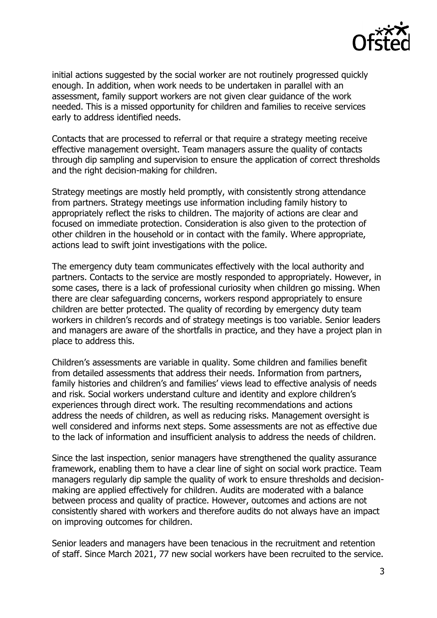

initial actions suggested by the social worker are not routinely progressed quickly enough. In addition, when work needs to be undertaken in parallel with an assessment, family support workers are not given clear guidance of the work needed. This is a missed opportunity for children and families to receive services early to address identified needs.

Contacts that are processed to referral or that require a strategy meeting receive effective management oversight. Team managers assure the quality of contacts through dip sampling and supervision to ensure the application of correct thresholds and the right decision-making for children.

Strategy meetings are mostly held promptly, with consistently strong attendance from partners. Strategy meetings use information including family history to appropriately reflect the risks to children. The majority of actions are clear and focused on immediate protection. Consideration is also given to the protection of other children in the household or in contact with the family. Where appropriate, actions lead to swift joint investigations with the police.

The emergency duty team communicates effectively with the local authority and partners. Contacts to the service are mostly responded to appropriately. However, in some cases, there is a lack of professional curiosity when children go missing. When there are clear safeguarding concerns, workers respond appropriately to ensure children are better protected. The quality of recording by emergency duty team workers in children's records and of strategy meetings is too variable. Senior leaders and managers are aware of the shortfalls in practice, and they have a project plan in place to address this.

Children's assessments are variable in quality. Some children and families benefit from detailed assessments that address their needs. Information from partners, family histories and children's and families' views lead to effective analysis of needs and risk. Social workers understand culture and identity and explore children's experiences through direct work. The resulting recommendations and actions address the needs of children, as well as reducing risks. Management oversight is well considered and informs next steps. Some assessments are not as effective due to the lack of information and insufficient analysis to address the needs of children.

Since the last inspection, senior managers have strengthened the quality assurance framework, enabling them to have a clear line of sight on social work practice. Team managers regularly dip sample the quality of work to ensure thresholds and decisionmaking are applied effectively for children. Audits are moderated with a balance between process and quality of practice. However, outcomes and actions are not consistently shared with workers and therefore audits do not always have an impact on improving outcomes for children.

Senior leaders and managers have been tenacious in the recruitment and retention of staff. Since March 2021, 77 new social workers have been recruited to the service.